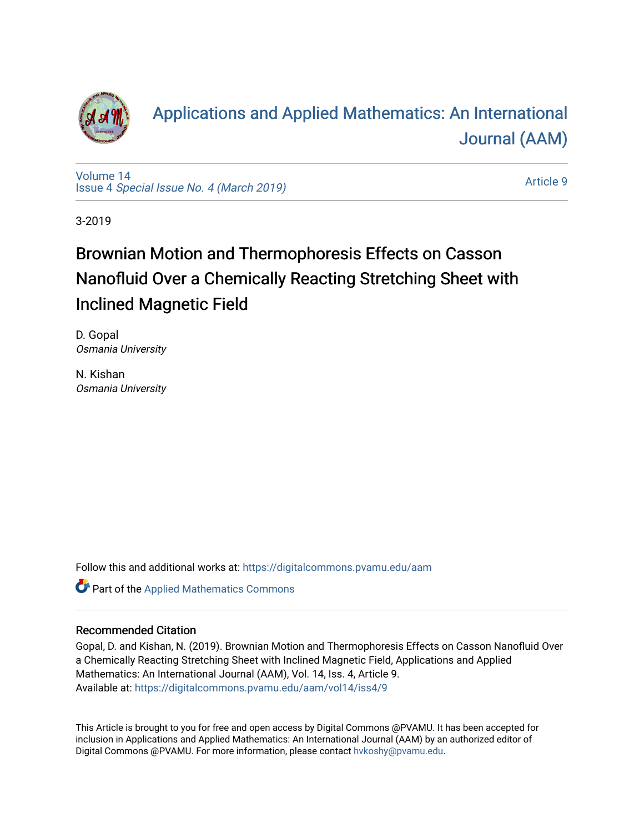

# [Applications and Applied Mathematics: An International](https://digitalcommons.pvamu.edu/aam)  [Journal \(AAM\)](https://digitalcommons.pvamu.edu/aam)

[Volume 14](https://digitalcommons.pvamu.edu/aam/vol14) Issue 4 [Special Issue No. 4 \(March 2019\)](https://digitalcommons.pvamu.edu/aam/vol14/iss4) 

[Article 9](https://digitalcommons.pvamu.edu/aam/vol14/iss4/9) 

3-2019

# Brownian Motion and Thermophoresis Effects on Casson Nanofluid Over a Chemically Reacting Stretching Sheet with Inclined Magnetic Field

D. Gopal Osmania University

N. Kishan Osmania University

Follow this and additional works at: [https://digitalcommons.pvamu.edu/aam](https://digitalcommons.pvamu.edu/aam?utm_source=digitalcommons.pvamu.edu%2Faam%2Fvol14%2Fiss4%2F9&utm_medium=PDF&utm_campaign=PDFCoverPages) 

Part of the [Applied Mathematics Commons](http://network.bepress.com/hgg/discipline/115?utm_source=digitalcommons.pvamu.edu%2Faam%2Fvol14%2Fiss4%2F9&utm_medium=PDF&utm_campaign=PDFCoverPages)

#### Recommended Citation

Gopal, D. and Kishan, N. (2019). Brownian Motion and Thermophoresis Effects on Casson Nanofluid Over a Chemically Reacting Stretching Sheet with Inclined Magnetic Field, Applications and Applied Mathematics: An International Journal (AAM), Vol. 14, Iss. 4, Article 9. Available at: [https://digitalcommons.pvamu.edu/aam/vol14/iss4/9](https://digitalcommons.pvamu.edu/aam/vol14/iss4/9?utm_source=digitalcommons.pvamu.edu%2Faam%2Fvol14%2Fiss4%2F9&utm_medium=PDF&utm_campaign=PDFCoverPages) 

This Article is brought to you for free and open access by Digital Commons @PVAMU. It has been accepted for inclusion in Applications and Applied Mathematics: An International Journal (AAM) by an authorized editor of Digital Commons @PVAMU. For more information, please contact [hvkoshy@pvamu.edu.](mailto:hvkoshy@pvamu.edu)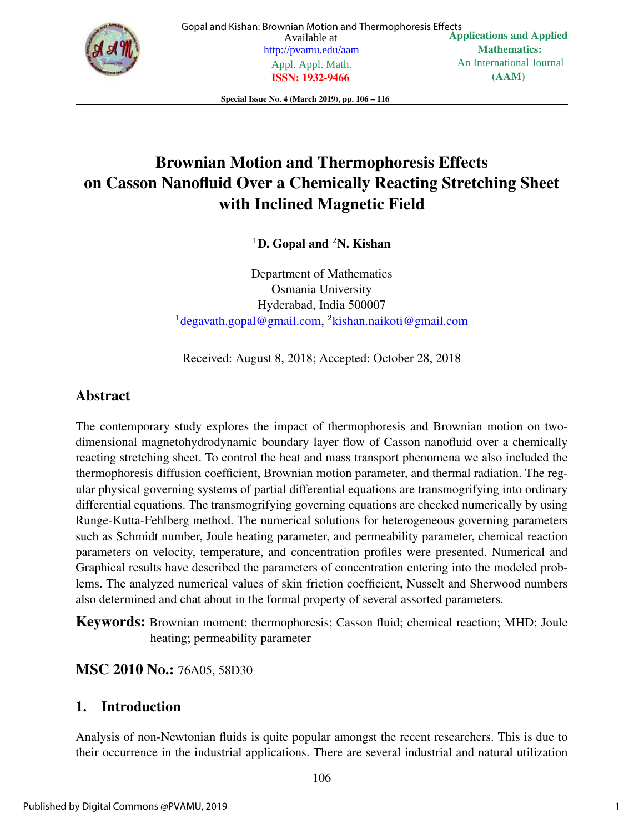

Special Issue No. 4 (March 2019), pp. 106 – 116

# Brownian Motion and Thermophoresis Effects on Casson Nanofluid Over a Chemically Reacting Stretching Sheet with Inclined Magnetic Field

<sup>1</sup>D. Gopal and <sup>2</sup>N. Kishan

Department of Mathematics Osmania University Hyderabad, India 500007 <sup>1</sup>degavath.gopal@gmail.com, <sup>2</sup>kishan.naikoti@gmail.com

Received: August 8, 2018; Accepted: October 28, 2018

### Abstract

The contemporary study explores the impact of thermophoresis and Brownian motion on twodimensional magnetohydrodynamic boundary layer flow of Casson nanofluid over a chemically reacting stretching sheet. To control the heat and mass transport phenomena we also included the thermophoresis diffusion coefficient, Brownian motion parameter, and thermal radiation. The regular physical governing systems of partial differential equations are transmogrifying into ordinary differential equations. The transmogrifying governing equations are checked numerically by using Runge-Kutta-Fehlberg method. The numerical solutions for heterogeneous governing parameters such as Schmidt number, Joule heating parameter, and permeability parameter, chemical reaction parameters on velocity, temperature, and concentration profiles were presented. Numerical and Graphical results have described the parameters of concentration entering into the modeled problems. The analyzed numerical values of skin friction coefficient, Nusselt and Sherwood numbers also determined and chat about in the formal property of several assorted parameters.

Keywords: Brownian moment; thermophoresis; Casson fluid; chemical reaction; MHD; Joule heating; permeability parameter

### MSC 2010 No.: 76A05, 58D30

### 1. Introduction

Analysis of non-Newtonian fluids is quite popular amongst the recent researchers. This is due to their occurrence in the industrial applications. There are several industrial and natural utilization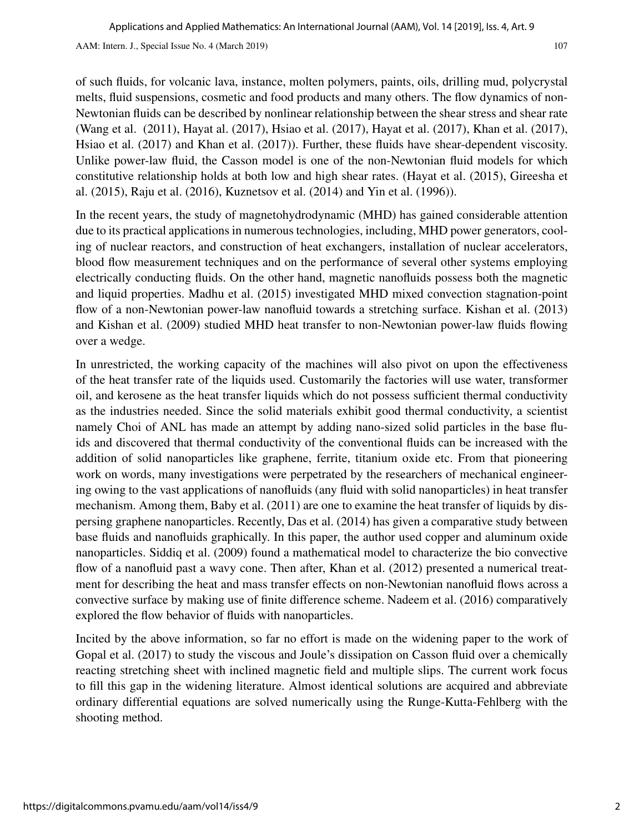of such fluids, for volcanic lava, instance, molten polymers, paints, oils, drilling mud, polycrystal melts, fluid suspensions, cosmetic and food products and many others. The flow dynamics of non-Newtonian fluids can be described by nonlinear relationship between the shear stress and shear rate (Wang et al. (2011), Hayat al. (2017), Hsiao et al. (2017), Hayat et al. (2017), Khan et al. (2017), Hsiao et al. (2017) and Khan et al. (2017)). Further, these fluids have shear-dependent viscosity. Unlike power-law fluid, the Casson model is one of the non-Newtonian fluid models for which constitutive relationship holds at both low and high shear rates. (Hayat et al. (2015), Gireesha et al. (2015), Raju et al. (2016), Kuznetsov et al. (2014) and Yin et al. (1996)).

In the recent years, the study of magnetohydrodynamic (MHD) has gained considerable attention due to its practical applications in numerous technologies, including, MHD power generators, cooling of nuclear reactors, and construction of heat exchangers, installation of nuclear accelerators, blood flow measurement techniques and on the performance of several other systems employing electrically conducting fluids. On the other hand, magnetic nanofluids possess both the magnetic and liquid properties. Madhu et al. (2015) investigated MHD mixed convection stagnation-point flow of a non-Newtonian power-law nanofluid towards a stretching surface. Kishan et al. (2013) and Kishan et al. (2009) studied MHD heat transfer to non-Newtonian power-law fluids flowing over a wedge.

In unrestricted, the working capacity of the machines will also pivot on upon the effectiveness of the heat transfer rate of the liquids used. Customarily the factories will use water, transformer oil, and kerosene as the heat transfer liquids which do not possess sufficient thermal conductivity as the industries needed. Since the solid materials exhibit good thermal conductivity, a scientist namely Choi of ANL has made an attempt by adding nano-sized solid particles in the base fluids and discovered that thermal conductivity of the conventional fluids can be increased with the addition of solid nanoparticles like graphene, ferrite, titanium oxide etc. From that pioneering work on words, many investigations were perpetrated by the researchers of mechanical engineering owing to the vast applications of nanofluids (any fluid with solid nanoparticles) in heat transfer mechanism. Among them, Baby et al. (2011) are one to examine the heat transfer of liquids by dispersing graphene nanoparticles. Recently, Das et al. (2014) has given a comparative study between base fluids and nanofluids graphically. In this paper, the author used copper and aluminum oxide nanoparticles. Siddiq et al. (2009) found a mathematical model to characterize the bio convective flow of a nanofluid past a wavy cone. Then after, Khan et al. (2012) presented a numerical treatment for describing the heat and mass transfer effects on non-Newtonian nanofluid flows across a convective surface by making use of finite difference scheme. Nadeem et al. (2016) comparatively explored the flow behavior of fluids with nanoparticles.

Incited by the above information, so far no effort is made on the widening paper to the work of Gopal et al. (2017) to study the viscous and Joule's dissipation on Casson fluid over a chemically reacting stretching sheet with inclined magnetic field and multiple slips. The current work focus to fill this gap in the widening literature. Almost identical solutions are acquired and abbreviate ordinary differential equations are solved numerically using the Runge-Kutta-Fehlberg with the shooting method.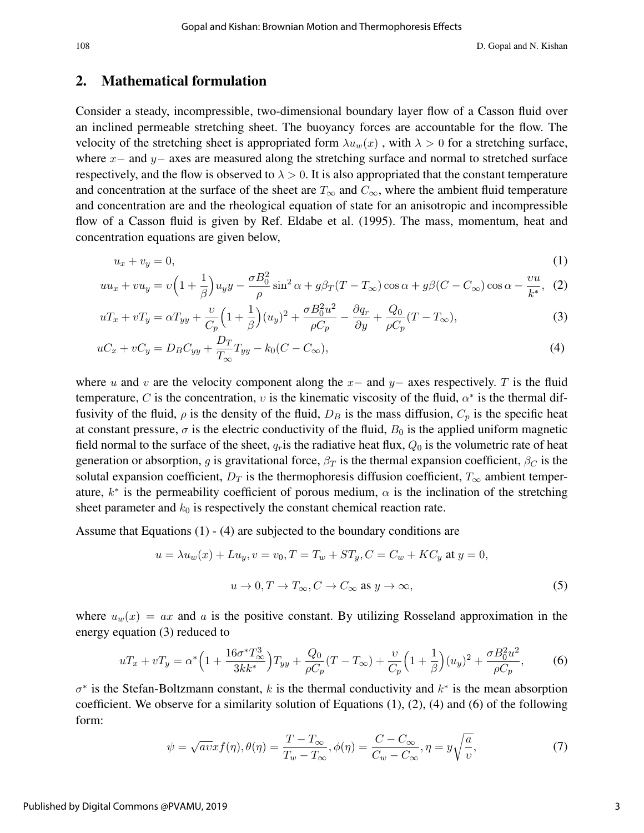#### 2. Mathematical formulation

Consider a steady, incompressible, two-dimensional boundary layer flow of a Casson fluid over an inclined permeable stretching sheet. The buoyancy forces are accountable for the flow. The velocity of the stretching sheet is appropriated form  $\lambda u_w(x)$ , with  $\lambda > 0$  for a stretching surface, where  $x-$  and  $y-$  axes are measured along the stretching surface and normal to stretched surface respectively, and the flow is observed to  $\lambda > 0$ . It is also appropriated that the constant temperature and concentration at the surface of the sheet are  $T_{\infty}$  and  $C_{\infty}$ , where the ambient fluid temperature and concentration are and the rheological equation of state for an anisotropic and incompressible flow of a Casson fluid is given by Ref. Eldabe et al. (1995). The mass, momentum, heat and concentration equations are given below,

$$
u_x + v_y = 0,\t\t(1)
$$

$$
uu_x + vu_y = v\left(1 + \frac{1}{\beta}\right)u_yy - \frac{\sigma B_0^2}{\rho}\sin^2\alpha + g\beta_T(T - T_\infty)\cos\alpha + g\beta(C - C_\infty)\cos\alpha - \frac{vu}{k^*},\tag{2}
$$

$$
uT_x + vT_y = \alpha T_{yy} + \frac{\upsilon}{C_p} \left( 1 + \frac{1}{\beta} \right) (u_y)^2 + \frac{\sigma B_0^2 u^2}{\rho C_p} - \frac{\partial q_r}{\partial y} + \frac{Q_0}{\rho C_p} (T - T_{\infty}),\tag{3}
$$

$$
uC_x + vC_y = D_B C_{yy} + \frac{D_T}{T_{\infty}} T_{yy} - k_0 (C - C_{\infty}),
$$
\n(4)

where u and v are the velocity component along the  $x-$  and  $y-$  axes respectively. T is the fluid temperature, C is the concentration, v is the kinematic viscosity of the fluid,  $\alpha^*$  is the thermal diffusivity of the fluid,  $\rho$  is the density of the fluid,  $D_B$  is the mass diffusion,  $C_p$  is the specific heat at constant pressure,  $\sigma$  is the electric conductivity of the fluid,  $B_0$  is the applied uniform magnetic field normal to the surface of the sheet,  $q_r$  is the radiative heat flux,  $Q_0$  is the volumetric rate of heat generation or absorption, g is gravitational force,  $\beta_T$  is the thermal expansion coefficient,  $\beta_C$  is the solutal expansion coefficient,  $D_T$  is the thermophoresis diffusion coefficient,  $T_{\infty}$  ambient temperature,  $k^*$  is the permeability coefficient of porous medium,  $\alpha$  is the inclination of the stretching sheet parameter and  $k_0$  is respectively the constant chemical reaction rate.

Assume that Equations (1) - (4) are subjected to the boundary conditions are

$$
u = \lambda u_w(x) + Lu_y, v = v_0, T = T_w + ST_y, C = C_w + KC_y \text{ at } y = 0,
$$
  

$$
u \to 0, T \to T_{\infty}, C \to C_{\infty} \text{ as } y \to \infty,
$$
 (5)

where  $u_w(x) = ax$  and a is the positive constant. By utilizing Rosseland approximation in the energy equation (3) reduced to

$$
uT_x + vT_y = \alpha^* \Big( 1 + \frac{16\sigma^* T_{\infty}^3}{3kk^*} \Big) T_{yy} + \frac{Q_0}{\rho C_p} (T - T_{\infty}) + \frac{\upsilon}{C_p} \Big( 1 + \frac{1}{\beta} \Big) (u_y)^2 + \frac{\sigma B_0^2 u^2}{\rho C_p},\tag{6}
$$

 $\sigma^*$  is the Stefan-Boltzmann constant, k is the thermal conductivity and  $k^*$  is the mean absorption coefficient. We observe for a similarity solution of Equations  $(1)$ ,  $(2)$ ,  $(4)$  and  $(6)$  of the following form:

$$
\psi = \sqrt{av}xf(\eta), \theta(\eta) = \frac{T - T_{\infty}}{T_w - T_{\infty}}, \phi(\eta) = \frac{C - C_{\infty}}{C_w - C_{\infty}}, \eta = y\sqrt{\frac{a}{v}},
$$
\n(7)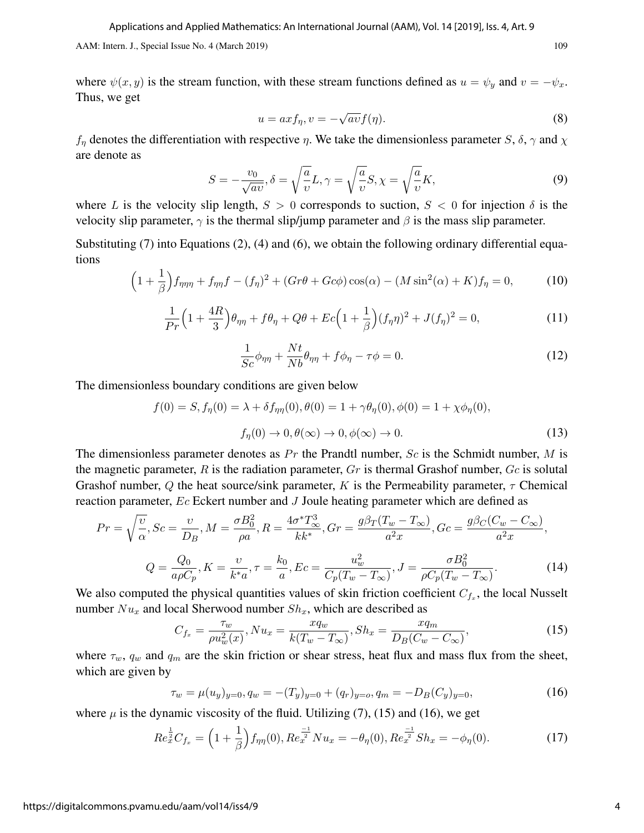where  $\psi(x, y)$  is the stream function, with these stream functions defined as  $u = \psi_y$  and  $v = -\psi_x$ . Thus, we get

$$
u = axf_{\eta}, v = -\sqrt{av}f(\eta). \tag{8}
$$

 $f_\eta$  denotes the differentiation with respective  $\eta$ . We take the dimensionless parameter S,  $\delta$ ,  $\gamma$  and  $\chi$ are denote as

$$
S = -\frac{v_0}{\sqrt{av}}, \delta = \sqrt{\frac{a}{v}}L, \gamma = \sqrt{\frac{a}{v}}S, \chi = \sqrt{\frac{a}{v}}K,
$$
\n(9)

where L is the velocity slip length,  $S > 0$  corresponds to suction,  $S < 0$  for injection  $\delta$  is the velocity slip parameter,  $\gamma$  is the thermal slip/jump parameter and  $\beta$  is the mass slip parameter.

Substituting (7) into Equations (2), (4) and (6), we obtain the following ordinary differential equations

$$
\left(1+\frac{1}{\beta}\right)f_{\eta\eta\eta} + f_{\eta\eta}f - (f_{\eta})^2 + (Gr\theta + Gc\phi)\cos(\alpha) - (M\sin^2(\alpha) + K)f_{\eta} = 0,\tag{10}
$$

$$
\frac{1}{Pr}\left(1+\frac{4R}{3}\right)\theta_{\eta\eta} + f\theta_{\eta} + Q\theta + Ec\left(1+\frac{1}{\beta}\right)(f_{\eta}\eta)^2 + J(f_{\eta})^2 = 0,
$$
\n(11)

$$
\frac{1}{Sc}\phi_{\eta\eta} + \frac{Nt}{Nb}\theta_{\eta\eta} + f\phi_{\eta} - \tau\phi = 0.
$$
\n(12)

The dimensionless boundary conditions are given below

$$
f(0) = S, f_{\eta}(0) = \lambda + \delta f_{\eta\eta}(0), \theta(0) = 1 + \gamma \theta_{\eta}(0), \phi(0) = 1 + \chi \phi_{\eta}(0),
$$
  

$$
f_{\eta}(0) \to 0, \theta(\infty) \to 0, \phi(\infty) \to 0.
$$
 (13)

The dimensionless parameter denotes as  $Pr$  the Prandtl number, Sc is the Schmidt number, M is the magnetic parameter,  $R$  is the radiation parameter,  $Gr$  is thermal Grashof number,  $Gc$  is solutal Grashof number, Q the heat source/sink parameter, K is the Permeability parameter,  $\tau$  Chemical reaction parameter, Ec Eckert number and J Joule heating parameter which are defined as

$$
Pr = \sqrt{\frac{v}{\alpha}}, Sc = \frac{v}{D_B}, M = \frac{\sigma B_0^2}{\rho a}, R = \frac{4\sigma^* T_{\infty}^3}{kk^*}, Gr = \frac{g\beta_T(T_w - T_{\infty})}{a^2 x}, Gc = \frac{g\beta_C(C_w - C_{\infty})}{a^2 x},
$$

$$
Q = \frac{Q_0}{a\rho C_p}, K = \frac{v}{k^* a}, \tau = \frac{k_0}{a}, Ec = \frac{u_w^2}{C_p(T_w - T_{\infty})}, J = \frac{\sigma B_0^2}{\rho C_p(T_w - T_{\infty})}.
$$
(14)

We also computed the physical quantities values of skin friction coefficient  $C_{f_x}$ , the local Nusselt number  $Nu_x$  and local Sherwood number  $Sh_x$ , which are described as

$$
C_{f_x} = \frac{\tau_w}{\rho u_w^2(x)}, N u_x = \frac{x q_w}{k(T_w - T_\infty)}, Sh_x = \frac{x q_m}{D_B (C_w - C_\infty)},
$$
(15)

where  $\tau_w$ ,  $q_w$  and  $q_m$  are the skin friction or shear stress, heat flux and mass flux from the sheet, which are given by

$$
\tau_w = \mu(u_y)_{y=0}, q_w = -(T_y)_{y=0} + (q_r)_{y=0}, q_m = -D_B(C_y)_{y=0},
$$
\n(16)

where  $\mu$  is the dynamic viscosity of the fluid. Utilizing (7), (15) and (16), we get

$$
Re_x^{\frac{1}{2}}C_{f_x} = \left(1 + \frac{1}{\beta}\right) f_{\eta\eta}(0), Re_x^{\frac{-1}{2}} N u_x = -\theta_\eta(0), Re_x^{\frac{-1}{2}} Sh_x = -\phi_\eta(0). \tag{17}
$$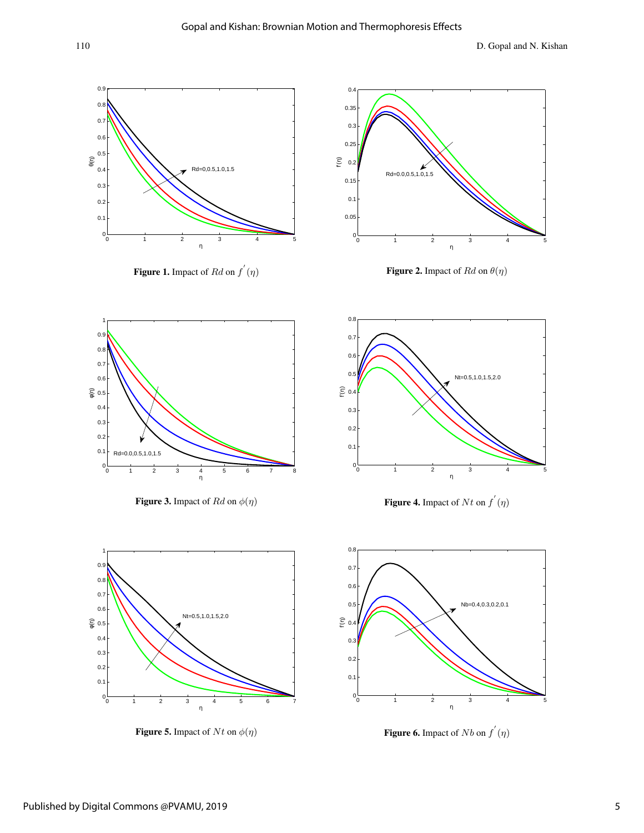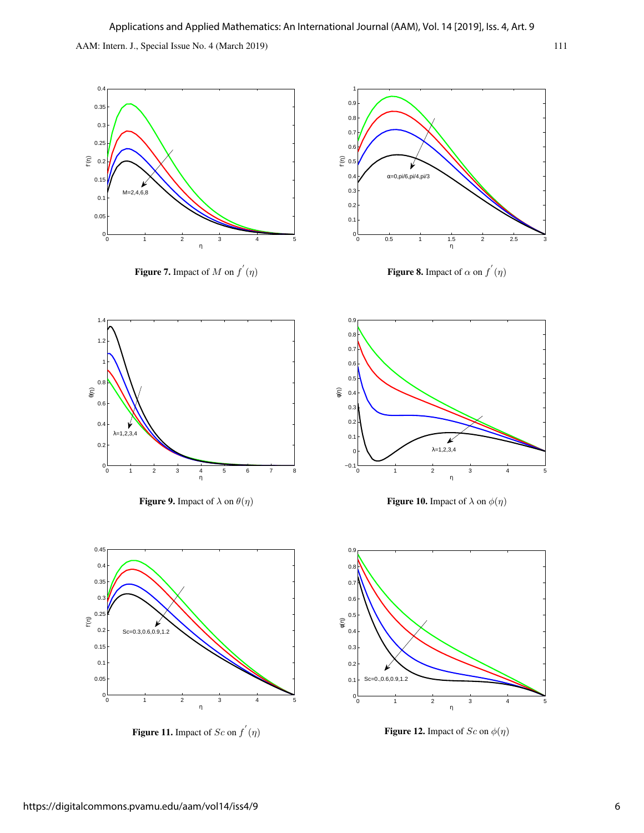

**Figure 11.** Impact of  $Sc$  on  $f'(\eta)$ 

**Figure 12.** Impact of  $Sc$  on  $\phi(\eta)$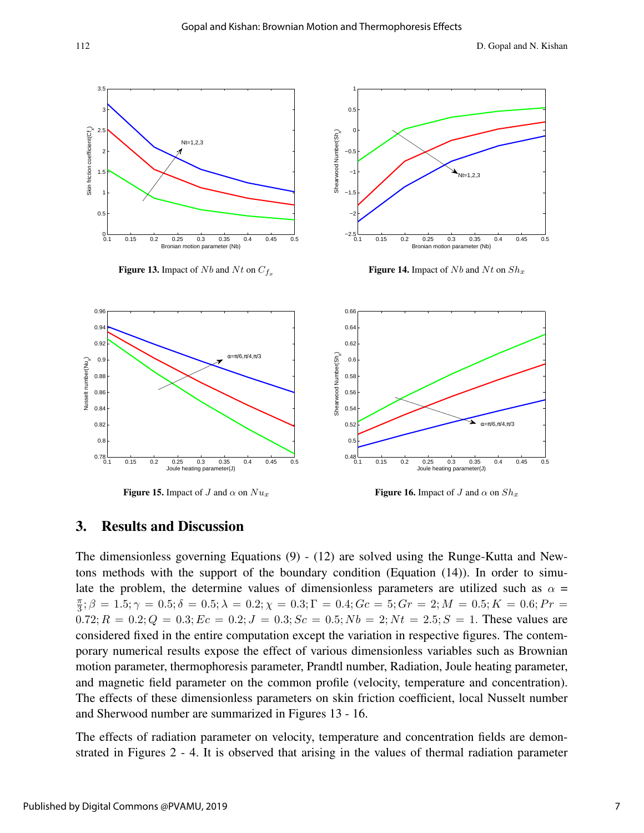

Figure 15. Impact of J and  $\alpha$  on  $Nu_x$ 

**Figure 16.** Impact of J and  $\alpha$  on  $Sh_x$ 

#### 3. Results and Discussion

The dimensionless governing Equations (9) - (12) are solved using the Runge-Kutta and Newtons methods with the support of the boundary condition (Equation (14)). In order to simulate the problem, the determine values of dimensionless parameters are utilized such as  $\alpha$  =  $\pi$  $\frac{\pi}{3}$ ;  $\beta = 1.5; \gamma = 0.5; \delta = 0.5; \lambda = 0.2; \chi = 0.3; \Gamma = 0.4; Gc = 5; Gr = 2; M = 0.5; K = 0.6; Pr = 0.5$  $0.72; R = 0.2; Q = 0.3; Ec = 0.2; J = 0.3; Sc = 0.5; Nb = 2; Nt = 2.5; S = 1.$  These values are considered fixed in the entire computation except the variation in respective figures. The contemporary numerical results expose the effect of various dimensionless variables such as Brownian motion parameter, thermophoresis parameter, Prandtl number, Radiation, Joule heating parameter, and magnetic field parameter on the common profile (velocity, temperature and concentration). The effects of these dimensionless parameters on skin friction coefficient, local Nusselt number and Sherwood number are summarized in Figures 13 - 16.

The effects of radiation parameter on velocity, temperature and concentration fields are demonstrated in Figures 2 - 4. It is observed that arising in the values of thermal radiation parameter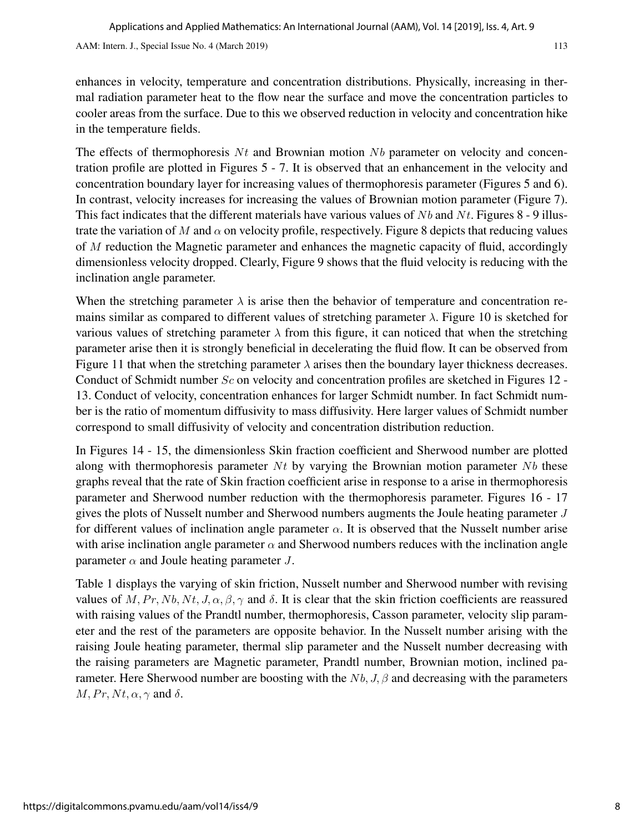enhances in velocity, temperature and concentration distributions. Physically, increasing in thermal radiation parameter heat to the flow near the surface and move the concentration particles to cooler areas from the surface. Due to this we observed reduction in velocity and concentration hike in the temperature fields.

The effects of thermophoresis  $N_t$  and Brownian motion  $Nb$  parameter on velocity and concentration profile are plotted in Figures 5 - 7. It is observed that an enhancement in the velocity and concentration boundary layer for increasing values of thermophoresis parameter (Figures 5 and 6). In contrast, velocity increases for increasing the values of Brownian motion parameter (Figure 7). This fact indicates that the different materials have various values of  $Nb$  and  $Nt$ . Figures 8 - 9 illustrate the variation of M and  $\alpha$  on velocity profile, respectively. Figure 8 depicts that reducing values of M reduction the Magnetic parameter and enhances the magnetic capacity of fluid, accordingly dimensionless velocity dropped. Clearly, Figure 9 shows that the fluid velocity is reducing with the inclination angle parameter.

When the stretching parameter  $\lambda$  is arise then the behavior of temperature and concentration remains similar as compared to different values of stretching parameter  $\lambda$ . Figure 10 is sketched for various values of stretching parameter  $\lambda$  from this figure, it can noticed that when the stretching parameter arise then it is strongly beneficial in decelerating the fluid flow. It can be observed from Figure 11 that when the stretching parameter  $\lambda$  arises then the boundary layer thickness decreases. Conduct of Schmidt number  $Sc$  on velocity and concentration profiles are sketched in Figures 12 -13. Conduct of velocity, concentration enhances for larger Schmidt number. In fact Schmidt number is the ratio of momentum diffusivity to mass diffusivity. Here larger values of Schmidt number correspond to small diffusivity of velocity and concentration distribution reduction.

In Figures 14 - 15, the dimensionless Skin fraction coefficient and Sherwood number are plotted along with thermophoresis parameter  $N_t$  by varying the Brownian motion parameter  $N_b$  these graphs reveal that the rate of Skin fraction coefficient arise in response to a arise in thermophoresis parameter and Sherwood number reduction with the thermophoresis parameter. Figures 16 - 17 gives the plots of Nusselt number and Sherwood numbers augments the Joule heating parameter J for different values of inclination angle parameter  $\alpha$ . It is observed that the Nusselt number arise with arise inclination angle parameter  $\alpha$  and Sherwood numbers reduces with the inclination angle parameter  $\alpha$  and Joule heating parameter J.

Table 1 displays the varying of skin friction, Nusselt number and Sherwood number with revising values of M, Pr, Nb, Nt, J,  $\alpha$ ,  $\beta$ ,  $\gamma$  and  $\delta$ . It is clear that the skin friction coefficients are reassured with raising values of the Prandtl number, thermophoresis, Casson parameter, velocity slip parameter and the rest of the parameters are opposite behavior. In the Nusselt number arising with the raising Joule heating parameter, thermal slip parameter and the Nusselt number decreasing with the raising parameters are Magnetic parameter, Prandtl number, Brownian motion, inclined parameter. Here Sherwood number are boosting with the  $Nb$ , J,  $\beta$  and decreasing with the parameters  $M, Pr, Nt, \alpha, \gamma$  and  $\delta$ .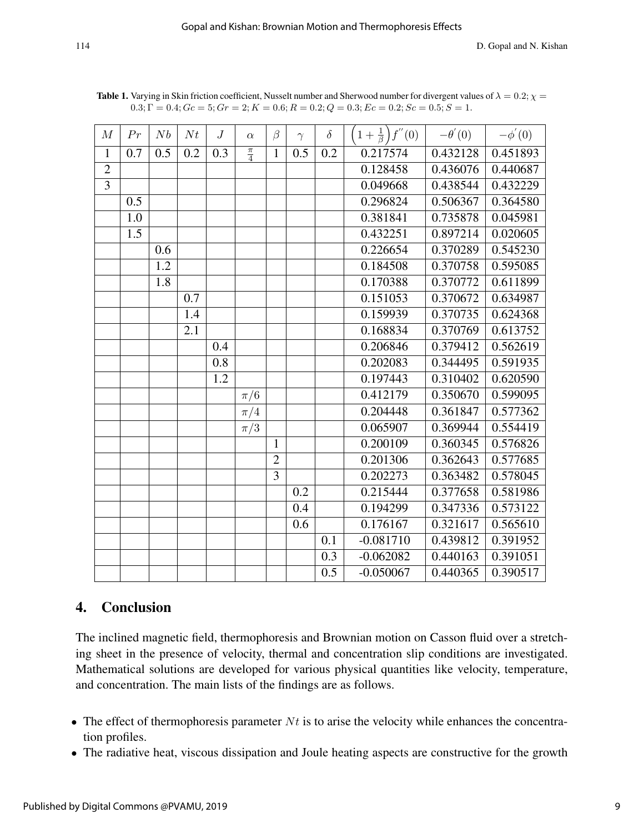| M              | Pr  | Nb  | Nt  | J   | $\alpha$        | $\beta$        | $\gamma$ | $\delta$ | $\overline{f}''(0)$<br>$1+\frac{1}{\beta}$ | $-\theta'(0)$         | $-\phi'(0)$           |
|----------------|-----|-----|-----|-----|-----------------|----------------|----------|----------|--------------------------------------------|-----------------------|-----------------------|
| $\mathbf{1}$   | 0.7 | 0.5 | 0.2 | 0.3 | $\frac{\pi}{4}$ | $\mathbf{1}$   | 0.5      | 0.2      | 0.217574                                   | 0.432128              | 0.451893              |
| $\overline{2}$ |     |     |     |     |                 |                |          |          | 0.128458                                   | 0.436076              | 0.440687              |
| $\overline{3}$ |     |     |     |     |                 |                |          |          | 0.049668                                   | 0.438544              | $\overline{0.432229}$ |
|                | 0.5 |     |     |     |                 |                |          |          | 0.296824                                   | 0.506367              | 0.364580              |
|                | 1.0 |     |     |     |                 |                |          |          | 0.381841                                   | 0.735878              | 0.045981              |
|                | 1.5 |     |     |     |                 |                |          |          | 0.432251                                   | 0.897214              | 0.020605              |
|                |     | 0.6 |     |     |                 |                |          |          | 0.226654                                   | 0.370289              | 0.545230              |
|                |     | 1.2 |     |     |                 |                |          |          | 0.184508                                   | 0.370758              | 0.595085              |
|                |     | 1.8 |     |     |                 |                |          |          | 0.170388                                   | $\overline{0.370772}$ | 0.611899              |
|                |     |     | 0.7 |     |                 |                |          |          | 0.151053                                   | 0.370672              | 0.634987              |
|                |     |     | 1.4 |     |                 |                |          |          | 0.159939                                   | 0.370735              | 0.624368              |
|                |     |     | 2.1 |     |                 |                |          |          | 0.168834                                   | 0.370769              | 0.613752              |
|                |     |     |     | 0.4 |                 |                |          |          | 0.206846                                   | 0.379412              | 0.562619              |
|                |     |     |     | 0.8 |                 |                |          |          | 0.202083                                   | 0.344495              | 0.591935              |
|                |     |     |     | 1.2 |                 |                |          |          | 0.197443                                   | 0.310402              | 0.620590              |
|                |     |     |     |     | $\pi/6$         |                |          |          | 0.412179                                   | 0.350670              | 0.599095              |
|                |     |     |     |     | $\pi/4$         |                |          |          | 0.204448                                   | 0.361847              | 0.577362              |
|                |     |     |     |     | $\pi/3$         |                |          |          | 0.065907                                   | 0.369944              | 0.554419              |
|                |     |     |     |     |                 | $\mathbf{1}$   |          |          | 0.200109                                   | 0.360345              | 0.576826              |
|                |     |     |     |     |                 | $\overline{2}$ |          |          | 0.201306                                   | 0.362643              | 0.577685              |
|                |     |     |     |     |                 | 3              |          |          | 0.202273                                   | 0.363482              | 0.578045              |
|                |     |     |     |     |                 |                | 0.2      |          | 0.215444                                   | 0.377658              | 0.581986              |
|                |     |     |     |     |                 |                | 0.4      |          | 0.194299                                   | 0.347336              | 0.573122              |
|                |     |     |     |     |                 |                | 0.6      |          | 0.176167                                   | 0.321617              | 0.565610              |
|                |     |     |     |     |                 |                |          | 0.1      | $-0.081710$                                | 0.439812              | 0.391952              |
|                |     |     |     |     |                 |                |          | 0.3      | $-0.062082$                                | 0.440163              | 0.391051              |
|                |     |     |     |     |                 |                |          | 0.5      | $-0.050067$                                | 0.440365              | 0.390517              |

**Table 1.** Varying in Skin friction coefficient, Nusselt number and Sherwood number for divergent values of  $\lambda = 0.2$ ;  $\chi =$  $0.3; \Gamma = 0.4; Gc = 5; Gr = 2; K = 0.6; R = 0.2; Q = 0.3; Ec = 0.2; Sc = 0.5; S = 1.$ 

## 4. Conclusion

The inclined magnetic field, thermophoresis and Brownian motion on Casson fluid over a stretching sheet in the presence of velocity, thermal and concentration slip conditions are investigated. Mathematical solutions are developed for various physical quantities like velocity, temperature, and concentration. The main lists of the findings are as follows.

- The effect of thermophoresis parameter  $Nt$  is to arise the velocity while enhances the concentration profiles.
- The radiative heat, viscous dissipation and Joule heating aspects are constructive for the growth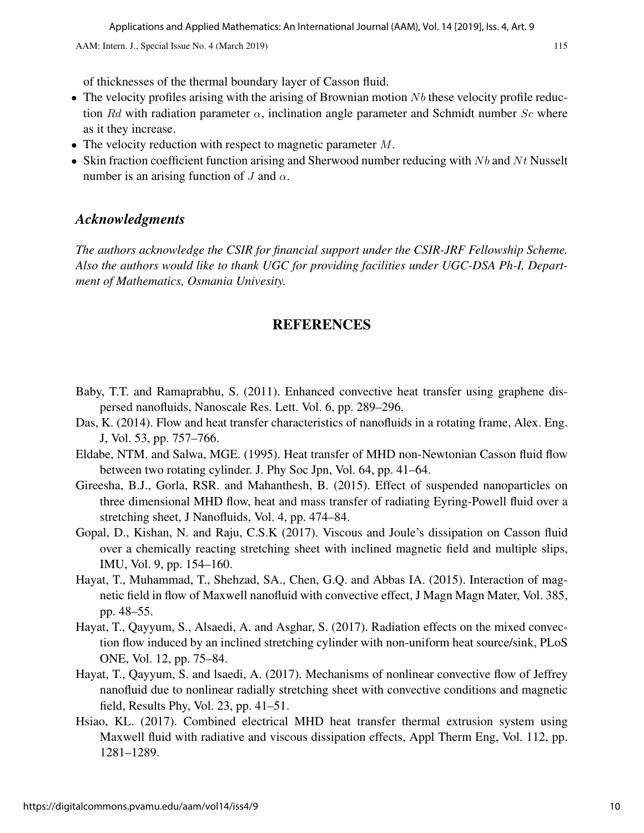of thicknesses of the thermal boundary layer of Casson fluid.

- The velocity profiles arising with the arising of Brownian motion  $Nb$  these velocity profile reduction Rd with radiation parameter  $\alpha$ , inclination angle parameter and Schmidt number Sc where as it they increase.
- The velocity reduction with respect to magnetic parameter  $M$ .
- Skin fraction coefficient function arising and Sherwood number reducing with  $Nb$  and  $Nt$  Nusselt number is an arising function of J and  $\alpha$ .

### *Acknowledgments*

*The authors acknowledge the CSIR for financial support under the CSIR-JRF Fellowship Scheme. Also the authors would like to thank UGC for providing facilities under UGC-DSA Ph-I, Department of Mathematics, Osmania Univesity.*

### REFERENCES

- Baby, T.T. and Ramaprabhu, S. (2011). Enhanced convective heat transfer using graphene dispersed nanofluids, Nanoscale Res. Lett. Vol. 6, pp. 289–296.
- Das, K. (2014). Flow and heat transfer characteristics of nanofluids in a rotating frame, Alex. Eng. J, Vol. 53, pp. 757–766.
- Eldabe, NTM. and Salwa, MGE. (1995). Heat transfer of MHD non-Newtonian Casson fluid flow between two rotating cylinder. J. Phy Soc Jpn, Vol. 64, pp. 41–64.
- Gireesha, B.J., Gorla, RSR. and Mahanthesh, B. (2015). Effect of suspended nanoparticles on three dimensional MHD flow, heat and mass transfer of radiating Eyring-Powell fluid over a stretching sheet, J Nanofluids, Vol. 4, pp. 474–84.
- Gopal, D., Kishan, N. and Raju, C.S.K (2017). Viscous and Joule's dissipation on Casson fluid over a chemically reacting stretching sheet with inclined magnetic field and multiple slips, IMU, Vol. 9, pp. 154–160.
- Hayat, T., Muhammad, T., Shehzad, SA., Chen, G.Q. and Abbas IA. (2015). Interaction of magnetic field in flow of Maxwell nanofluid with convective effect, J Magn Magn Mater, Vol. 385, pp. 48–55.
- Hayat, T., Qayyum, S., Alsaedi, A. and Asghar, S. (2017). Radiation effects on the mixed convection flow induced by an inclined stretching cylinder with non-uniform heat source/sink, PLoS ONE, Vol. 12, pp. 75–84.
- Hayat, T., Qayyum, S. and lsaedi, A. (2017). Mechanisms of nonlinear convective flow of Jeffrey nanofluid due to nonlinear radially stretching sheet with convective conditions and magnetic field, Results Phy, Vol. 23, pp. 41–51.
- Hsiao, KL. (2017). Combined electrical MHD heat transfer thermal extrusion system using Maxwell fluid with radiative and viscous dissipation effects, Appl Therm Eng, Vol. 112, pp. 1281–1289.